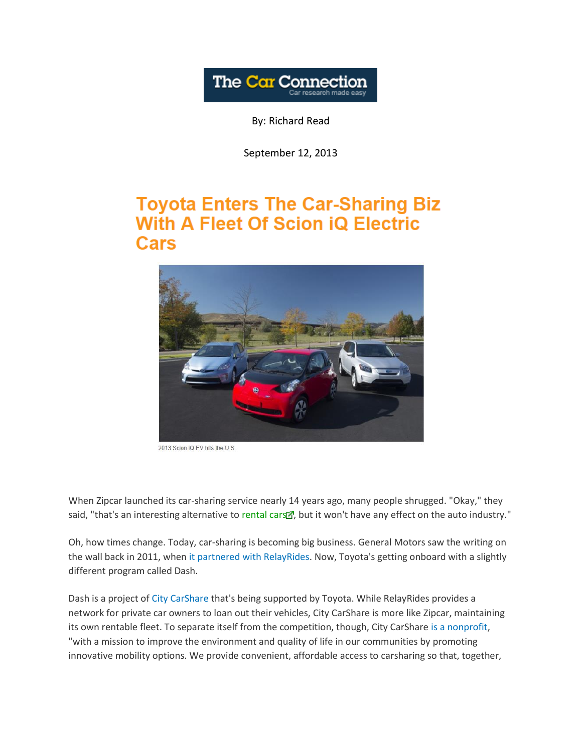

By: Richard Read

September 12, 2013

## **Toyota Enters The Car-Sharing Biz With A Fleet Of Scion iQ Electric Cars**



2013 Scion iO EV hits the U.S.

When Zipcar launched its car-sharing service nearly 14 years ago, many people shrugged. "Okay," they said, "that's an interesting alternative to [rental](http://www.thecarconnection.com/news/1086920_toyota-enters-the-car-sharing-biz-with-a-fleet-of-scion-iq-electric-cars) cars , but it won't have any effect on the auto industry."

Oh, how times change. Today, car-sharing is becoming big business. General Motors saw the writing on the wall back in 2011, when [it partnered with RelayRides.](http://www.thecarconnection.com/news/1066935_gm-to-let-onstar-owners-rent-out-their-cars-using-relayrides) Now, Toyota's getting onboard with a slightly different program called Dash.

Dash is a project of [City CarShare](https://www.citycarshare.org/what-is-car-sharing/howitworks/) that's being supported by Toyota. While RelayRides provides a network for private car owners to loan out their vehicles, City CarShare is more like Zipcar, maintaining its own rentable fleet. To separate itself from the competition, though, City CarShare [is a nonprofit,](https://www.citycarshare.org/why-city-car-share/our-mission/) "with a mission to improve the environment and quality of life in our communities by promoting innovative mobility options. We provide convenient, affordable access to carsharing so that, together,